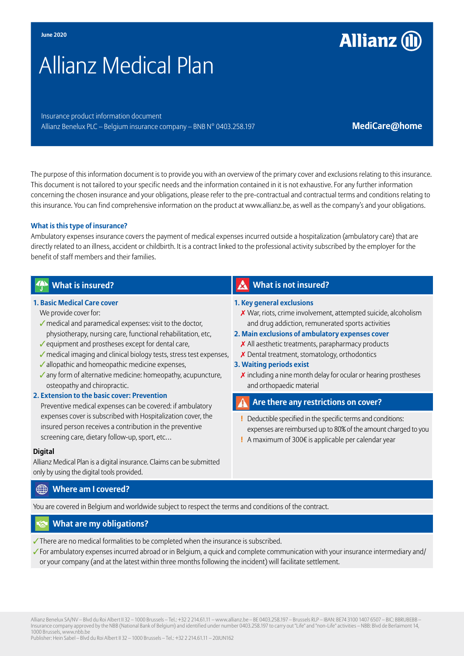# Allianz Medical Plan

Insurance product information document Allianz Benelux PLC – Belgium insurance company – BNB N° 0403.258.197 **Medicare@home** 

**Allianz (II)** 

The purpose of this information document is to provide you with an overview of the primary cover and exclusions relating to this insurance. This document is not tailored to your specific needs and the information contained in it is not exhaustive. For any further information concerning the chosen insurance and your obligations, please refer to the pre-contractual and contractual terms and conditions relating to this insurance. You can find comprehensive information on the product at www.allianz.be, as well as the company's and your obligations.

#### **What is this type of insurance?**

Ambulatory expenses insurance covers the payment of medical expenses incurred outside a hospitalization (ambulatory care) that are directly related to an illness, accident or childbirth. It is a contract linked to the professional activity subscribed by the employer for the benefit of staff members and their families.

| <b>What is insured?</b>                                                                                                                                                                                                                                                                                                                                                                                                                                                                                                                                                                                                                                                                                                                                      | <b>What is not insured?</b>                                                                                                                                                                                                                                                                                                                                                                                                                                              |
|--------------------------------------------------------------------------------------------------------------------------------------------------------------------------------------------------------------------------------------------------------------------------------------------------------------------------------------------------------------------------------------------------------------------------------------------------------------------------------------------------------------------------------------------------------------------------------------------------------------------------------------------------------------------------------------------------------------------------------------------------------------|--------------------------------------------------------------------------------------------------------------------------------------------------------------------------------------------------------------------------------------------------------------------------------------------------------------------------------------------------------------------------------------------------------------------------------------------------------------------------|
| <b>1. Basic Medical Care cover</b><br>We provide cover for:<br>medical and paramedical expenses: visit to the doctor,<br>physiotherapy, nursing care, functional rehabilitation, etc,<br>✔ equipment and prostheses except for dental care,<br>medical imaging and clinical biology tests, stress test expenses,<br>✔ allopathic and homeopathic medicine expenses,<br>√ any form of alternative medicine: homeopathy, acupuncture,<br>osteopathy and chiropractic.<br>2. Extension to the basic cover: Prevention<br>Preventive medical expenses can be covered: if ambulatory<br>expenses cover is subscribed with Hospitalization cover, the<br>insured person receives a contribution in the preventive<br>screening care, dietary follow-up, sport, etc | 1. Key general exclusions<br>X War, riots, crime involvement, attempted suicide, alcoholism<br>and drug addiction, remunerated sports activities<br>2. Main exclusions of ambulatory expenses cover<br>$\boldsymbol{\chi}$ All aesthetic treatments, parapharmacy products<br>X Dental treatment, stomatology, orthodontics<br>3. Waiting periods exist<br>$\boldsymbol{\chi}$ including a nine month delay for ocular or hearing prostheses<br>and orthopaedic material |
|                                                                                                                                                                                                                                                                                                                                                                                                                                                                                                                                                                                                                                                                                                                                                              | Are there any restrictions on cover?                                                                                                                                                                                                                                                                                                                                                                                                                                     |
|                                                                                                                                                                                                                                                                                                                                                                                                                                                                                                                                                                                                                                                                                                                                                              | Deductible specified in the specific terms and conditions:<br>expenses are reimbursed up to 80% of the amount charged to you<br>A maximum of 300 $\epsilon$ is applicable per calendar year                                                                                                                                                                                                                                                                              |
| <b>Digital</b><br>Allianz Medical Plan is a digital insurance. Claims can be submitted<br>only by using the digital tools provided.                                                                                                                                                                                                                                                                                                                                                                                                                                                                                                                                                                                                                          |                                                                                                                                                                                                                                                                                                                                                                                                                                                                          |

#### **Where am I covered?**

You are covered in Belgium and worldwide subject to respect the terms and conditions of the contract.

#### **What are my obligations?**

✓There are no medical formalities to be completed when the insurance is subscribed.

✓For ambulatory expenses incurred abroad or in Belgium, a quick and complete communication with your insurance intermediary and/ or your company (and at the latest within three months following the incident) will facilitate settlement.

Allianz Benelux SA/NV – Blvd du Roi Albert II 32 – 1000 Brussels – Tel.: +32 2 214.61.11 – www.allianz.be – BE 0403.258.197 – Brussels RLP – IBAN: BE74 3100 1407 6507 – BIC: BBRUBEBB – Insurance company approved by the NBB (National Bank of Belgium) and identified under number 0403.258.197 to carry out "Life" and "non-Life" activities – NBB: Blvd de Berlaimont 14, 1000 Brussels, www.nbb.be